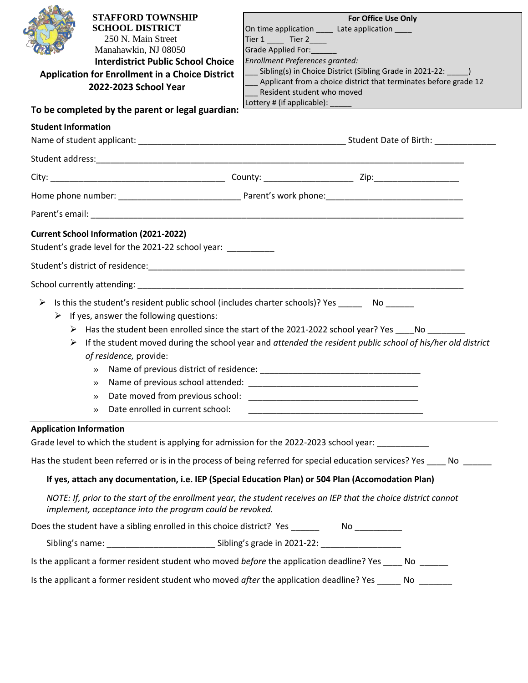|                                | <b>STAFFORD TOWNSHIP</b><br><b>SCHOOL DISTRICT</b><br>250 N. Main Street<br>Manahawkin, NJ 08050<br><b>Interdistrict Public School Choice</b><br><b>Application for Enrollment in a Choice District</b><br>2022-2023 School Year<br>To be completed by the parent or legal guardian: | For Office Use Only<br>On time application ______ Late application _____<br>Tier $1 \_$ Tier $2 \_$<br>Grade Applied For:<br>Enrollment Preferences granted:<br>Sibling(s) in Choice District (Sibling Grade in 2021-22: _______)<br>Applicant from a choice district that terminates before grade 12<br>Resident student who moved                                                    |
|--------------------------------|--------------------------------------------------------------------------------------------------------------------------------------------------------------------------------------------------------------------------------------------------------------------------------------|----------------------------------------------------------------------------------------------------------------------------------------------------------------------------------------------------------------------------------------------------------------------------------------------------------------------------------------------------------------------------------------|
| <b>Student Information</b>     |                                                                                                                                                                                                                                                                                      |                                                                                                                                                                                                                                                                                                                                                                                        |
|                                |                                                                                                                                                                                                                                                                                      |                                                                                                                                                                                                                                                                                                                                                                                        |
|                                |                                                                                                                                                                                                                                                                                      |                                                                                                                                                                                                                                                                                                                                                                                        |
|                                |                                                                                                                                                                                                                                                                                      |                                                                                                                                                                                                                                                                                                                                                                                        |
|                                |                                                                                                                                                                                                                                                                                      |                                                                                                                                                                                                                                                                                                                                                                                        |
|                                |                                                                                                                                                                                                                                                                                      |                                                                                                                                                                                                                                                                                                                                                                                        |
|                                | <b>Current School Information (2021-2022)</b>                                                                                                                                                                                                                                        |                                                                                                                                                                                                                                                                                                                                                                                        |
|                                | Student's grade level for the 2021-22 school year:                                                                                                                                                                                                                                   |                                                                                                                                                                                                                                                                                                                                                                                        |
|                                |                                                                                                                                                                                                                                                                                      |                                                                                                                                                                                                                                                                                                                                                                                        |
|                                |                                                                                                                                                                                                                                                                                      |                                                                                                                                                                                                                                                                                                                                                                                        |
|                                | $\triangleright$ If yes, answer the following questions:<br>of residence, provide:<br>$\gg$<br>Date moved from previous school:<br>$\gg$<br>Date enrolled in current school:<br>$\rightarrow$                                                                                        | Is this the student's resident public school (includes charter schools)? Yes _________ No _______<br>> Has the student been enrolled since the start of the 2021-2022 school year? Yes ____No _______<br>$\triangleright$ If the student moved during the school year and attended the resident public school of his/her old district<br><u> 1980 - Jan James John Stone (f. 1980)</u> |
| <b>Application Information</b> |                                                                                                                                                                                                                                                                                      |                                                                                                                                                                                                                                                                                                                                                                                        |
|                                |                                                                                                                                                                                                                                                                                      | Grade level to which the student is applying for admission for the 2022-2023 school year:                                                                                                                                                                                                                                                                                              |
|                                |                                                                                                                                                                                                                                                                                      | Has the student been referred or is in the process of being referred for special education services? Yes ____ No                                                                                                                                                                                                                                                                       |
|                                |                                                                                                                                                                                                                                                                                      | If yes, attach any documentation, i.e. IEP (Special Education Plan) or 504 Plan (Accomodation Plan)                                                                                                                                                                                                                                                                                    |
|                                | implement, acceptance into the program could be revoked.                                                                                                                                                                                                                             | NOTE: If, prior to the start of the enrollment year, the student receives an IEP that the choice district cannot                                                                                                                                                                                                                                                                       |
|                                |                                                                                                                                                                                                                                                                                      |                                                                                                                                                                                                                                                                                                                                                                                        |
|                                |                                                                                                                                                                                                                                                                                      |                                                                                                                                                                                                                                                                                                                                                                                        |
|                                |                                                                                                                                                                                                                                                                                      |                                                                                                                                                                                                                                                                                                                                                                                        |
|                                |                                                                                                                                                                                                                                                                                      | Is the applicant a former resident student who moved <i>before</i> the application deadline? Yes _____ No                                                                                                                                                                                                                                                                              |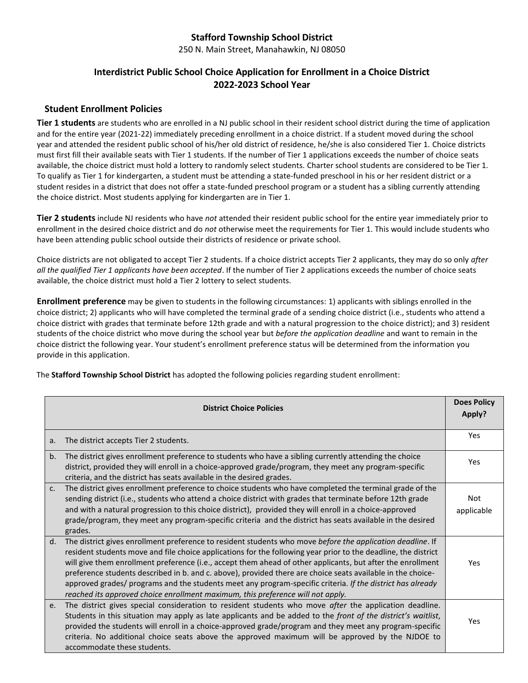# **Stafford Township School District**

250 N. Main Street, Manahawkin, NJ 08050

## **Interdistrict Public School Choice Application for Enrollment in a Choice District 2022-2023 School Year**

#### **Student Enrollment Policies**

**Tier 1 students** are students who are enrolled in a NJ public school in their resident school district during the time of application and for the entire year (2021-22) immediately preceding enrollment in a choice district. If a student moved during the school year and attended the resident public school of his/her old district of residence, he/she is also considered Tier 1. Choice districts must first fill their available seats with Tier 1 students. If the number of Tier 1 applications exceeds the number of choice seats available, the choice district must hold a lottery to randomly select students. Charter school students are considered to be Tier 1. To qualify as Tier 1 for kindergarten, a student must be attending a state-funded preschool in his or her resident district or a student resides in a district that does not offer a state-funded preschool program or a student has a sibling currently attending the choice district. Most students applying for kindergarten are in Tier 1.

**Tier 2 students** include NJ residents who have *not* attended their resident public school for the entire year immediately prior to enrollment in the desired choice district and do *not* otherwise meet the requirements for Tier 1. This would include students who have been attending public school outside their districts of residence or private school.

Choice districts are not obligated to accept Tier 2 students. If a choice district accepts Tier 2 applicants, they may do so only *after all the qualified Tier 1 applicants have been accepted*. If the number of Tier 2 applications exceeds the number of choice seats available, the choice district must hold a Tier 2 lottery to select students.

**Enrollment preference** may be given to students in the following circumstances: 1) applicants with siblings enrolled in the choice district; 2) applicants who will have completed the terminal grade of a sending choice district (i.e., students who attend a choice district with grades that terminate before 12th grade and with a natural progression to the choice district); and 3) resident students of the choice district who move during the school year but *before the application deadline* and want to remain in the choice district the following year. Your student's enrollment preference status will be determined from the information you provide in this application.

The **Stafford Township School District** has adopted the following policies regarding student enrollment:

| <b>District Choice Policies</b> |                                                                                                                                                                                                                                                                                                                                                                                                                                                                                                                                                                                                                                                             | <b>Does Policy</b><br>Apply? |
|---------------------------------|-------------------------------------------------------------------------------------------------------------------------------------------------------------------------------------------------------------------------------------------------------------------------------------------------------------------------------------------------------------------------------------------------------------------------------------------------------------------------------------------------------------------------------------------------------------------------------------------------------------------------------------------------------------|------------------------------|
| a.                              | The district accepts Tier 2 students.                                                                                                                                                                                                                                                                                                                                                                                                                                                                                                                                                                                                                       | Yes                          |
| b.                              | The district gives enrollment preference to students who have a sibling currently attending the choice<br>district, provided they will enroll in a choice-approved grade/program, they meet any program-specific<br>criteria, and the district has seats available in the desired grades.                                                                                                                                                                                                                                                                                                                                                                   | Yes                          |
| C <sub>1</sub>                  | The district gives enrollment preference to choice students who have completed the terminal grade of the<br>sending district (i.e., students who attend a choice district with grades that terminate before 12th grade<br>and with a natural progression to this choice district), provided they will enroll in a choice-approved<br>grade/program, they meet any program-specific criteria and the district has seats available in the desired<br>grades.                                                                                                                                                                                                  | <b>Not</b><br>applicable     |
| d.                              | The district gives enrollment preference to resident students who move before the application deadline. If<br>resident students move and file choice applications for the following year prior to the deadline, the district<br>will give them enrollment preference (i.e., accept them ahead of other applicants, but after the enrollment<br>preference students described in b. and c. above), provided there are choice seats available in the choice-<br>approved grades/ programs and the students meet any program-specific criteria. If the district has already<br>reached its approved choice enrollment maximum, this preference will not apply. | Yes                          |
| e.                              | The district gives special consideration to resident students who move after the application deadline.<br>Students in this situation may apply as late applicants and be added to the front of the district's waitlist,<br>provided the students will enroll in a choice-approved grade/program and they meet any program-specific<br>criteria. No additional choice seats above the approved maximum will be approved by the NJDOE to<br>accommodate these students.                                                                                                                                                                                       | Yes                          |